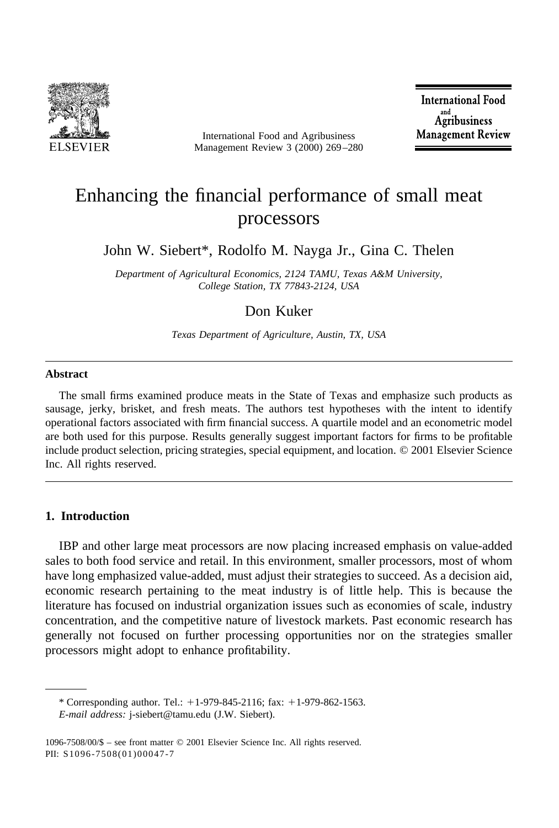

International Food and Agribusiness Management Review 3 (2000) 269–280

**International Food** Agribusiness **Management Review** 

# Enhancing the financial performance of small meat processors

John W. Siebert\*, Rodolfo M. Nayga Jr., Gina C. Thelen

*Department of Agricultural Economics, 2124 TAMU, Texas A&M University, College Station, TX 77843-2124, USA*

# Don Kuker

*Texas Department of Agriculture, Austin, TX, USA*

#### **Abstract**

The small firms examined produce meats in the State of Texas and emphasize such products as sausage, jerky, brisket, and fresh meats. The authors test hypotheses with the intent to identify operational factors associated with firm financial success. A quartile model and an econometric model are both used for this purpose. Results generally suggest important factors for firms to be profitable include product selection, pricing strategies, special equipment, and location. © 2001 Elsevier Science Inc. All rights reserved.

#### **1. Introduction**

IBP and other large meat processors are now placing increased emphasis on value-added sales to both food service and retail. In this environment, smaller processors, most of whom have long emphasized value-added, must adjust their strategies to succeed. As a decision aid, economic research pertaining to the meat industry is of little help. This is because the literature has focused on industrial organization issues such as economies of scale, industry concentration, and the competitive nature of livestock markets. Past economic research has generally not focused on further processing opportunities nor on the strategies smaller processors might adopt to enhance profitability.

<sup>\*</sup> Corresponding author. Tel.:  $+1-979-845-2116$ ; fax:  $+1-979-862-1563$ . *E-mail address:* j-siebert@tamu.edu (J.W. Siebert).

<sup>1096-7508/00/\$ –</sup> see front matter © 2001 Elsevier Science Inc. All rights reserved. PII: S1096-7508(01)00047-7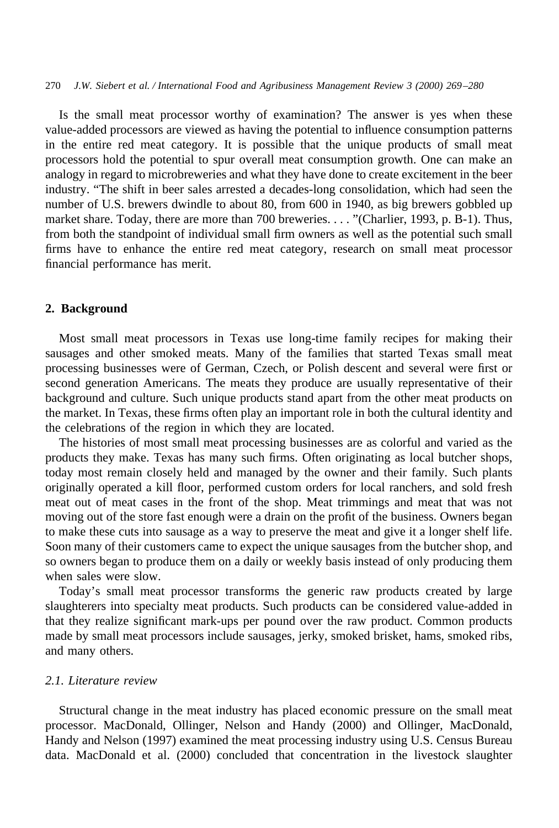Is the small meat processor worthy of examination? The answer is yes when these value-added processors are viewed as having the potential to influence consumption patterns in the entire red meat category. It is possible that the unique products of small meat processors hold the potential to spur overall meat consumption growth. One can make an analogy in regard to microbreweries and what they have done to create excitement in the beer industry. "The shift in beer sales arrested a decades-long consolidation, which had seen the number of U.S. brewers dwindle to about 80, from 600 in 1940, as big brewers gobbled up market share. Today, there are more than 700 breweries.... "(Charlier, 1993, p. B-1). Thus, from both the standpoint of individual small firm owners as well as the potential such small firms have to enhance the entire red meat category, research on small meat processor financial performance has merit.

#### **2. Background**

Most small meat processors in Texas use long-time family recipes for making their sausages and other smoked meats. Many of the families that started Texas small meat processing businesses were of German, Czech, or Polish descent and several were first or second generation Americans. The meats they produce are usually representative of their background and culture. Such unique products stand apart from the other meat products on the market. In Texas, these firms often play an important role in both the cultural identity and the celebrations of the region in which they are located.

The histories of most small meat processing businesses are as colorful and varied as the products they make. Texas has many such firms. Often originating as local butcher shops, today most remain closely held and managed by the owner and their family. Such plants originally operated a kill floor, performed custom orders for local ranchers, and sold fresh meat out of meat cases in the front of the shop. Meat trimmings and meat that was not moving out of the store fast enough were a drain on the profit of the business. Owners began to make these cuts into sausage as a way to preserve the meat and give it a longer shelf life. Soon many of their customers came to expect the unique sausages from the butcher shop, and so owners began to produce them on a daily or weekly basis instead of only producing them when sales were slow.

Today's small meat processor transforms the generic raw products created by large slaughterers into specialty meat products. Such products can be considered value-added in that they realize significant mark-ups per pound over the raw product. Common products made by small meat processors include sausages, jerky, smoked brisket, hams, smoked ribs, and many others.

# *2.1. Literature review*

Structural change in the meat industry has placed economic pressure on the small meat processor. MacDonald, Ollinger, Nelson and Handy (2000) and Ollinger, MacDonald, Handy and Nelson (1997) examined the meat processing industry using U.S. Census Bureau data. MacDonald et al. (2000) concluded that concentration in the livestock slaughter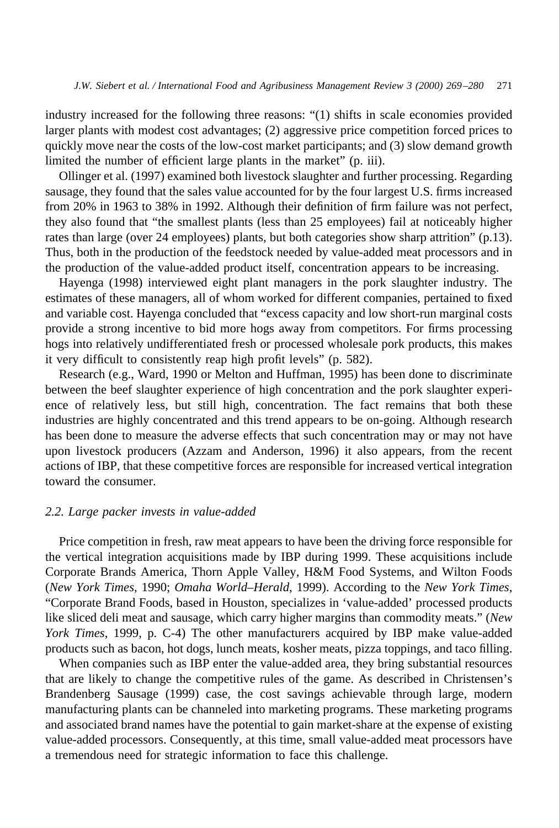industry increased for the following three reasons: "(1) shifts in scale economies provided larger plants with modest cost advantages; (2) aggressive price competition forced prices to quickly move near the costs of the low-cost market participants; and (3) slow demand growth limited the number of efficient large plants in the market" (p. iii).

Ollinger et al. (1997) examined both livestock slaughter and further processing. Regarding sausage, they found that the sales value accounted for by the four largest U.S. firms increased from 20% in 1963 to 38% in 1992. Although their definition of firm failure was not perfect, they also found that "the smallest plants (less than 25 employees) fail at noticeably higher rates than large (over 24 employees) plants, but both categories show sharp attrition" (p.13). Thus, both in the production of the feedstock needed by value-added meat processors and in the production of the value-added product itself, concentration appears to be increasing.

Hayenga (1998) interviewed eight plant managers in the pork slaughter industry. The estimates of these managers, all of whom worked for different companies, pertained to fixed and variable cost. Hayenga concluded that "excess capacity and low short-run marginal costs provide a strong incentive to bid more hogs away from competitors. For firms processing hogs into relatively undifferentiated fresh or processed wholesale pork products, this makes it very difficult to consistently reap high profit levels" (p. 582).

Research (e.g., Ward, 1990 or Melton and Huffman, 1995) has been done to discriminate between the beef slaughter experience of high concentration and the pork slaughter experience of relatively less, but still high, concentration. The fact remains that both these industries are highly concentrated and this trend appears to be on-going. Although research has been done to measure the adverse effects that such concentration may or may not have upon livestock producers (Azzam and Anderson, 1996) it also appears, from the recent actions of IBP, that these competitive forces are responsible for increased vertical integration toward the consumer.

### *2.2. Large packer invests in value-added*

Price competition in fresh, raw meat appears to have been the driving force responsible for the vertical integration acquisitions made by IBP during 1999. These acquisitions include Corporate Brands America, Thorn Apple Valley, H&M Food Systems, and Wilton Foods (*New York Times*, 1990; *Omaha World–Herald*, 1999). According to the *New York Times*, "Corporate Brand Foods, based in Houston, specializes in 'value-added' processed products like sliced deli meat and sausage, which carry higher margins than commodity meats." (*New York Times*, 1999, p. C-4) The other manufacturers acquired by IBP make value-added products such as bacon, hot dogs, lunch meats, kosher meats, pizza toppings, and taco filling.

When companies such as IBP enter the value-added area, they bring substantial resources that are likely to change the competitive rules of the game. As described in Christensen's Brandenberg Sausage (1999) case, the cost savings achievable through large, modern manufacturing plants can be channeled into marketing programs. These marketing programs and associated brand names have the potential to gain market-share at the expense of existing value-added processors. Consequently, at this time, small value-added meat processors have a tremendous need for strategic information to face this challenge.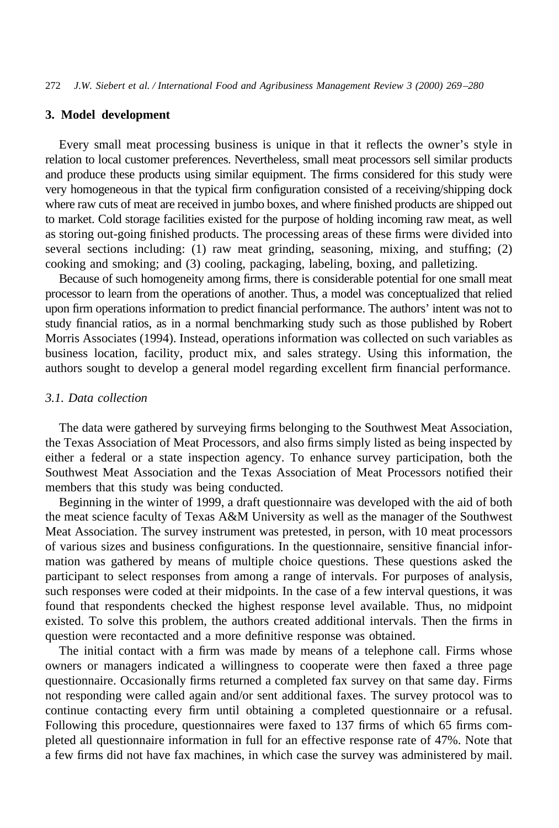272 *J.W. Siebert et al. / International Food and Agribusiness Management Review 3 (2000) 269–280*

#### **3. Model development**

Every small meat processing business is unique in that it reflects the owner's style in relation to local customer preferences. Nevertheless, small meat processors sell similar products and produce these products using similar equipment. The firms considered for this study were very homogeneous in that the typical firm configuration consisted of a receiving/shipping dock where raw cuts of meat are received in jumbo boxes, and where finished products are shipped out to market. Cold storage facilities existed for the purpose of holding incoming raw meat, as well as storing out-going finished products. The processing areas of these firms were divided into several sections including: (1) raw meat grinding, seasoning, mixing, and stuffing; (2) cooking and smoking; and (3) cooling, packaging, labeling, boxing, and palletizing.

Because of such homogeneity among firms, there is considerable potential for one small meat processor to learn from the operations of another. Thus, a model was conceptualized that relied upon firm operations information to predict financial performance. The authors' intent was not to study financial ratios, as in a normal benchmarking study such as those published by Robert Morris Associates (1994). Instead, operations information was collected on such variables as business location, facility, product mix, and sales strategy. Using this information, the authors sought to develop a general model regarding excellent firm financial performance.

# *3.1. Data collection*

The data were gathered by surveying firms belonging to the Southwest Meat Association, the Texas Association of Meat Processors, and also firms simply listed as being inspected by either a federal or a state inspection agency. To enhance survey participation, both the Southwest Meat Association and the Texas Association of Meat Processors notified their members that this study was being conducted.

Beginning in the winter of 1999, a draft questionnaire was developed with the aid of both the meat science faculty of Texas A&M University as well as the manager of the Southwest Meat Association. The survey instrument was pretested, in person, with 10 meat processors of various sizes and business configurations. In the questionnaire, sensitive financial information was gathered by means of multiple choice questions. These questions asked the participant to select responses from among a range of intervals. For purposes of analysis, such responses were coded at their midpoints. In the case of a few interval questions, it was found that respondents checked the highest response level available. Thus, no midpoint existed. To solve this problem, the authors created additional intervals. Then the firms in question were recontacted and a more definitive response was obtained.

The initial contact with a firm was made by means of a telephone call. Firms whose owners or managers indicated a willingness to cooperate were then faxed a three page questionnaire. Occasionally firms returned a completed fax survey on that same day. Firms not responding were called again and/or sent additional faxes. The survey protocol was to continue contacting every firm until obtaining a completed questionnaire or a refusal. Following this procedure, questionnaires were faxed to 137 firms of which 65 firms completed all questionnaire information in full for an effective response rate of 47%. Note that a few firms did not have fax machines, in which case the survey was administered by mail.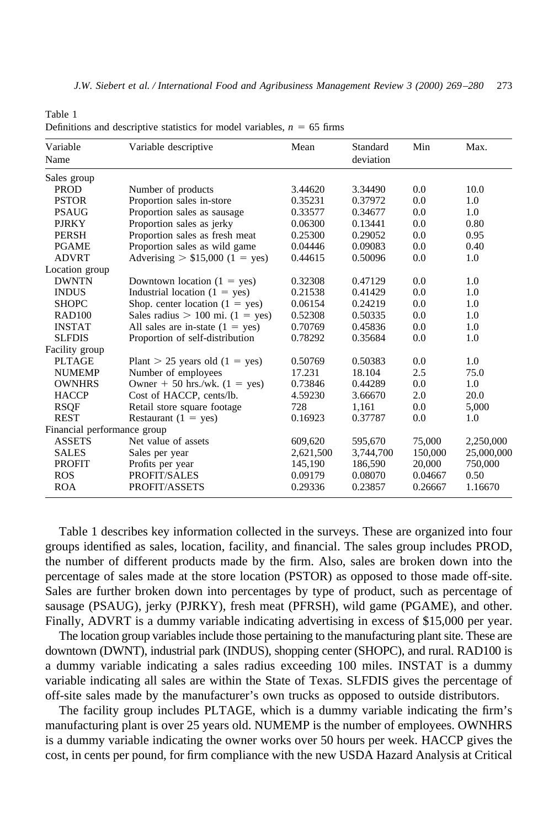| Variable<br>Name            | Variable descriptive               | Mean      | Standard<br>deviation | Min     | Max.       |
|-----------------------------|------------------------------------|-----------|-----------------------|---------|------------|
| Sales group                 |                                    |           |                       |         |            |
| <b>PROD</b>                 | Number of products                 | 3.44620   | 3.34490               | 0.0     | 10.0       |
| <b>PSTOR</b>                | Proportion sales in-store          | 0.35231   | 0.37972               | 0.0     | 1.0        |
| <b>PSAUG</b>                | Proportion sales as sausage        | 0.33577   | 0.34677               | 0.0     | 1.0        |
| <b>PJRKY</b>                | Proportion sales as jerky          | 0.06300   | 0.13441               | 0.0     | 0.80       |
| <b>PERSH</b>                | Proportion sales as fresh meat     | 0.25300   | 0.29052               | 0.0     | 0.95       |
| <b>PGAME</b>                | Proportion sales as wild game      | 0.04446   | 0.09083               | 0.0     | 0.40       |
| <b>ADVRT</b>                | Adverising $> $15,000$ (1 = yes)   | 0.44615   | 0.50096               | 0.0     | 1.0        |
| Location group              |                                    |           |                       |         |            |
| <b>DWNTN</b>                | Downtown location $(1 = yes)$      | 0.32308   | 0.47129               | 0.0     | 1.0        |
| <b>INDUS</b>                | Industrial location $(1 = yes)$    | 0.21538   | 0.41429               | 0.0     | 1.0        |
| <b>SHOPC</b>                | Shop. center location $(1 = yes)$  | 0.06154   | 0.24219               | 0.0     | 1.0        |
| <b>RAD100</b>               | Sales radius $> 100$ mi. (1 = yes) | 0.52308   | 0.50335               | 0.0     | 1.0        |
| <b>INSTAT</b>               | All sales are in-state $(1 = yes)$ | 0.70769   | 0.45836               | 0.0     | 1.0        |
| <b>SLFDIS</b>               | Proportion of self-distribution    | 0.78292   | 0.35684               | 0.0     | 1.0        |
| Facility group              |                                    |           |                       |         |            |
| <b>PLTAGE</b>               | Plant $> 25$ years old (1 = yes)   | 0.50769   | 0.50383               | 0.0     | 1.0        |
| <b>NUMEMP</b>               | Number of employees                | 17.231    | 18.104                | 2.5     | 75.0       |
| <b>OWNHRS</b>               | Owner + 50 hrs./wk. $(1 = yes)$    | 0.73846   | 0.44289               | 0.0     | 1.0        |
| <b>HACCP</b>                | Cost of HACCP, cents/lb.           | 4.59230   | 3.66670               | 2.0     | 20.0       |
| <b>RSQF</b>                 | Retail store square footage        | 728       | 1,161                 | 0.0     | 5,000      |
| <b>REST</b>                 | Restaurant $(1 = yes)$             | 0.16923   | 0.37787               | 0.0     | 1.0        |
| Financial performance group |                                    |           |                       |         |            |
| <b>ASSETS</b>               | Net value of assets                | 609,620   | 595,670               | 75,000  | 2,250,000  |
| <b>SALES</b>                | Sales per year                     | 2,621,500 | 3,744,700             | 150,000 | 25,000,000 |
| <b>PROFIT</b>               | Profits per year                   | 145,190   | 186,590               | 20,000  | 750,000    |
| <b>ROS</b>                  | PROFIT/SALES                       | 0.09179   | 0.08070               | 0.04667 | 0.50       |
| <b>ROA</b>                  | PROFIT/ASSETS                      | 0.29336   | 0.23857               | 0.26667 | 1.16670    |

Table 1 Definitions and descriptive statistics for model variables,  $n = 65$  firms

Table 1 describes key information collected in the surveys. These are organized into four groups identified as sales, location, facility, and financial. The sales group includes PROD, the number of different products made by the firm. Also, sales are broken down into the percentage of sales made at the store location (PSTOR) as opposed to those made off-site. Sales are further broken down into percentages by type of product, such as percentage of sausage (PSAUG), jerky (PJRKY), fresh meat (PFRSH), wild game (PGAME), and other. Finally, ADVRT is a dummy variable indicating advertising in excess of \$15,000 per year.

The location group variables include those pertaining to the manufacturing plant site. These are downtown (DWNT), industrial park (INDUS), shopping center (SHOPC), and rural. RAD100 is a dummy variable indicating a sales radius exceeding 100 miles. INSTAT is a dummy variable indicating all sales are within the State of Texas. SLFDIS gives the percentage of off-site sales made by the manufacturer's own trucks as opposed to outside distributors.

The facility group includes PLTAGE, which is a dummy variable indicating the firm's manufacturing plant is over 25 years old. NUMEMP is the number of employees. OWNHRS is a dummy variable indicating the owner works over 50 hours per week. HACCP gives the cost, in cents per pound, for firm compliance with the new USDA Hazard Analysis at Critical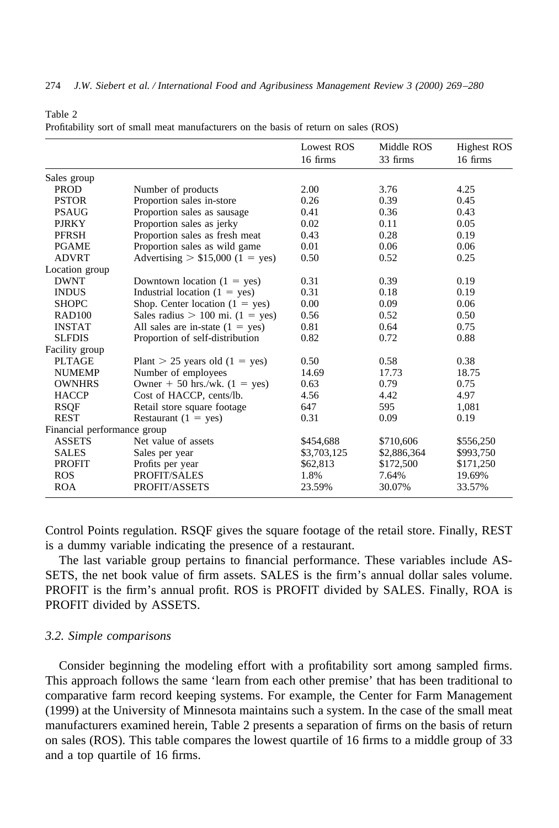|                             |                                    | <b>Lowest ROS</b> | Middle ROS  | <b>Highest ROS</b> |
|-----------------------------|------------------------------------|-------------------|-------------|--------------------|
|                             |                                    | 16 firms          | 33 firms    | 16 firms           |
| Sales group                 |                                    |                   |             |                    |
| <b>PROD</b>                 | Number of products                 | 2.00              | 3.76        | 4.25               |
| <b>PSTOR</b>                | Proportion sales in-store          | 0.26              | 0.39        | 0.45               |
| <b>PSAUG</b>                | Proportion sales as sausage        | 0.41              | 0.36        | 0.43               |
| <b>PJRKY</b>                | Proportion sales as jerky          | 0.02              | 0.11        | 0.05               |
| <b>PFRSH</b>                | Proportion sales as fresh meat     | 0.43              | 0.28        | 0.19               |
| <b>PGAME</b>                | Proportion sales as wild game      | 0.01              | 0.06        | 0.06               |
| <b>ADVRT</b>                | Advertising $> $15,000$ (1 = yes)  | 0.50              | 0.52        | 0.25               |
| Location group              |                                    |                   |             |                    |
| <b>DWNT</b>                 | Downtown location $(1 = yes)$      | 0.31              | 0.39        | 0.19               |
| <b>INDUS</b>                | Industrial location $(1 = yes)$    | 0.31              | 0.18        | 0.19               |
| <b>SHOPC</b>                | Shop. Center location $(1 = yes)$  | 0.00              | 0.09        | 0.06               |
| <b>RAD100</b>               | Sales radius $> 100$ mi. (1 = yes) | 0.56              | 0.52        | 0.50               |
| <b>INSTAT</b>               | All sales are in-state $(1 = yes)$ | 0.81              | 0.64        | 0.75               |
| <b>SLFDIS</b>               | Proportion of self-distribution    | 0.82              | 0.72        | 0.88               |
| Facility group              |                                    |                   |             |                    |
| <b>PLTAGE</b>               | Plant $> 25$ years old (1 = yes)   | 0.50              | 0.58        | 0.38               |
| <b>NUMEMP</b>               | Number of employees                | 14.69             | 17.73       | 18.75              |
| <b>OWNHRS</b>               | Owner + 50 hrs./wk. $(1 = yes)$    | 0.63              | 0.79        | 0.75               |
| <b>HACCP</b>                | Cost of HACCP, cents/lb.           | 4.56              | 4.42        | 4.97               |
| <b>RSQF</b>                 | Retail store square footage        | 647               | 595         | 1,081              |
| <b>REST</b>                 | Restaurant $(1 = yes)$             | 0.31              | 0.09        | 0.19               |
| Financial performance group |                                    |                   |             |                    |
| <b>ASSETS</b>               | Net value of assets                | \$454,688         | \$710,606   | \$556,250          |
| <b>SALES</b>                | Sales per year                     | \$3,703,125       | \$2,886,364 | \$993,750          |
| <b>PROFIT</b>               | Profits per year                   | \$62,813          | \$172,500   | \$171,250          |
| <b>ROS</b>                  | PROFIT/SALES                       | 1.8%              | 7.64%       | 19.69%             |
| <b>ROA</b>                  | PROFIT/ASSETS                      | 23.59%            | 30.07%      | 33.57%             |
|                             |                                    |                   |             |                    |

|  |  | Profitability sort of small meat manufacturers on the basis of return on sales (ROS) |  |  |  |  |
|--|--|--------------------------------------------------------------------------------------|--|--|--|--|
|  |  |                                                                                      |  |  |  |  |

Control Points regulation. RSQF gives the square footage of the retail store. Finally, REST is a dummy variable indicating the presence of a restaurant.

The last variable group pertains to financial performance. These variables include AS-SETS, the net book value of firm assets. SALES is the firm's annual dollar sales volume. PROFIT is the firm's annual profit. ROS is PROFIT divided by SALES. Finally, ROA is PROFIT divided by ASSETS.

#### *3.2. Simple comparisons*

Table 2

Consider beginning the modeling effort with a profitability sort among sampled firms. This approach follows the same 'learn from each other premise' that has been traditional to comparative farm record keeping systems. For example, the Center for Farm Management (1999) at the University of Minnesota maintains such a system. In the case of the small meat manufacturers examined herein, Table 2 presents a separation of firms on the basis of return on sales (ROS). This table compares the lowest quartile of 16 firms to a middle group of 33 and a top quartile of 16 firms.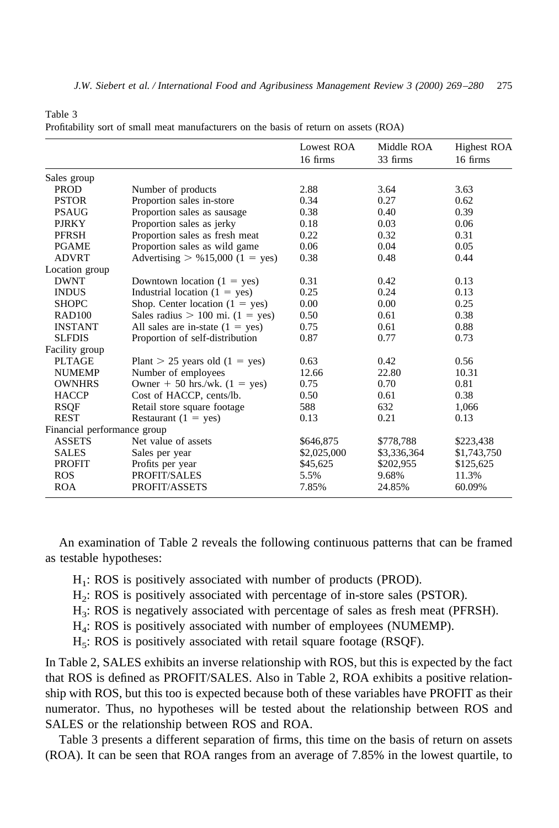| Lowest ROA<br>16 firms | Middle ROA<br>33 firms | <b>Highest ROA</b><br>16 firms |
|------------------------|------------------------|--------------------------------|
|                        |                        |                                |
| 2.88                   | 3.64                   | 3.63                           |
| 0.34                   | 0.27                   | 0.62                           |
| 0.38                   | 0.40                   | 0.39                           |
| 0.18                   | 0.03                   | 0.06                           |
| 0.22                   | 0.32                   | 0.31                           |
| 0.06                   | 0.04                   | 0.05                           |
| 0.38                   | 0.48                   | 0.44                           |
|                        |                        |                                |
| 0.31                   | 0.42                   | 0.13                           |
| 0.25                   | 0.24                   | 0.13                           |
| 0.00                   | 0.00                   | 0.25                           |
| 0.50                   | 0.61                   | 0.38                           |
| 0.75                   | 0.61                   | 0.88                           |
| 0.87                   | 0.77                   | 0.73                           |
|                        |                        |                                |
| 0.63                   | 0.42                   | 0.56                           |
| 12.66                  | 22.80                  | 10.31                          |
| 0.75                   | 0.70                   | 0.81                           |
| 0.50                   | 0.61                   | 0.38                           |
| 588                    | 632                    | 1,066                          |
| 0.13                   | 0.21                   | 0.13                           |
|                        |                        |                                |
| \$646,875              | \$778,788              | \$223,438                      |
| \$2,025,000            | \$3,336,364            | \$1,743,750                    |
| \$45,625               | \$202,955              | \$125,625                      |
| 5.5%                   | 9.68%                  | 11.3%                          |
| 7.85%                  | 24.85%                 | 60.09%                         |
|                        |                        |                                |

Table 3

|  |  |  |  | Profitability sort of small meat manufacturers on the basis of return on assets (ROA) |  |  |  |  |  |  |  |  |  |
|--|--|--|--|---------------------------------------------------------------------------------------|--|--|--|--|--|--|--|--|--|
|--|--|--|--|---------------------------------------------------------------------------------------|--|--|--|--|--|--|--|--|--|

An examination of Table 2 reveals the following continuous patterns that can be framed as testable hypotheses:

- $H<sub>1</sub>$ : ROS is positively associated with number of products (PROD).
- H<sub>2</sub>: ROS is positively associated with percentage of in-store sales (PSTOR).
- $H_3$ : ROS is negatively associated with percentage of sales as fresh meat (PFRSH).
- $H_4$ : ROS is positively associated with number of employees (NUMEMP).
- $H<sub>5</sub>$ : ROS is positively associated with retail square footage (RSQF).

In Table 2, SALES exhibits an inverse relationship with ROS, but this is expected by the fact that ROS is defined as PROFIT/SALES. Also in Table 2, ROA exhibits a positive relationship with ROS, but this too is expected because both of these variables have PROFIT as their numerator. Thus, no hypotheses will be tested about the relationship between ROS and SALES or the relationship between ROS and ROA.

Table 3 presents a different separation of firms, this time on the basis of return on assets (ROA). It can be seen that ROA ranges from an average of 7.85% in the lowest quartile, to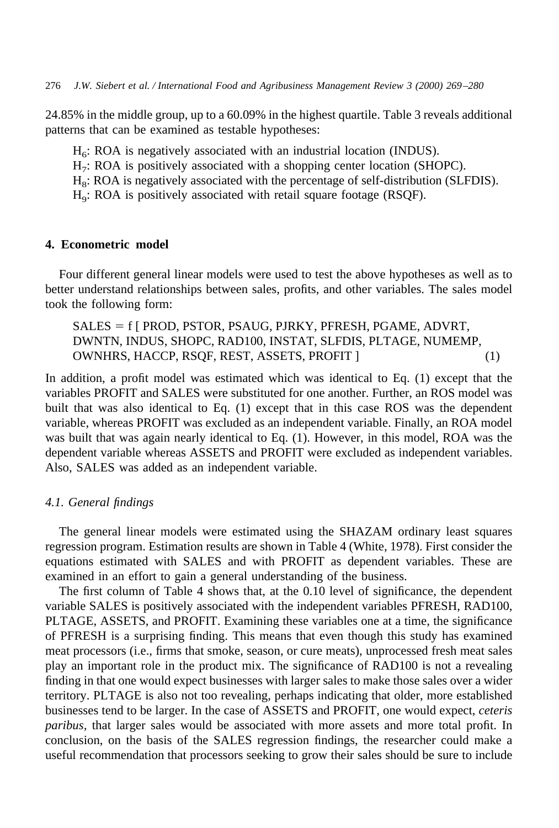24.85% in the middle group, up to a 60.09% in the highest quartile. Table 3 reveals additional patterns that can be examined as testable hypotheses:

 $H<sub>6</sub>$ : ROA is negatively associated with an industrial location (INDUS).

 $H_7$ : ROA is positively associated with a shopping center location (SHOPC).

 $H_s$ : ROA is negatively associated with the percentage of self-distribution (SLFDIS).

H<sub>9</sub>: ROA is positively associated with retail square footage (RSQF).

## **4. Econometric model**

Four different general linear models were used to test the above hypotheses as well as to better understand relationships between sales, profits, and other variables. The sales model took the following form:

SALES - f [ PROD, PSTOR, PSAUG, PJRKY, PFRESH, PGAME, ADVRT, DWNTN, INDUS, SHOPC, RAD100, INSTAT, SLFDIS, PLTAGE, NUMEMP, OWNHRS, HACCP, RSQF, REST, ASSETS, PROFIT ] (1)

In addition, a profit model was estimated which was identical to Eq. (1) except that the variables PROFIT and SALES were substituted for one another. Further, an ROS model was built that was also identical to Eq. (1) except that in this case ROS was the dependent variable, whereas PROFIT was excluded as an independent variable. Finally, an ROA model was built that was again nearly identical to Eq. (1). However, in this model, ROA was the dependent variable whereas ASSETS and PROFIT were excluded as independent variables. Also, SALES was added as an independent variable.

## *4.1. General findings*

The general linear models were estimated using the SHAZAM ordinary least squares regression program. Estimation results are shown in Table 4 (White, 1978). First consider the equations estimated with SALES and with PROFIT as dependent variables. These are examined in an effort to gain a general understanding of the business.

The first column of Table 4 shows that, at the 0.10 level of significance, the dependent variable SALES is positively associated with the independent variables PFRESH, RAD100, PLTAGE, ASSETS, and PROFIT. Examining these variables one at a time, the significance of PFRESH is a surprising finding. This means that even though this study has examined meat processors (i.e., firms that smoke, season, or cure meats), unprocessed fresh meat sales play an important role in the product mix. The significance of RAD100 is not a revealing finding in that one would expect businesses with larger sales to make those sales over a wider territory. PLTAGE is also not too revealing, perhaps indicating that older, more established businesses tend to be larger. In the case of ASSETS and PROFIT, one would expect, *ceteris paribus,* that larger sales would be associated with more assets and more total profit. In conclusion, on the basis of the SALES regression findings, the researcher could make a useful recommendation that processors seeking to grow their sales should be sure to include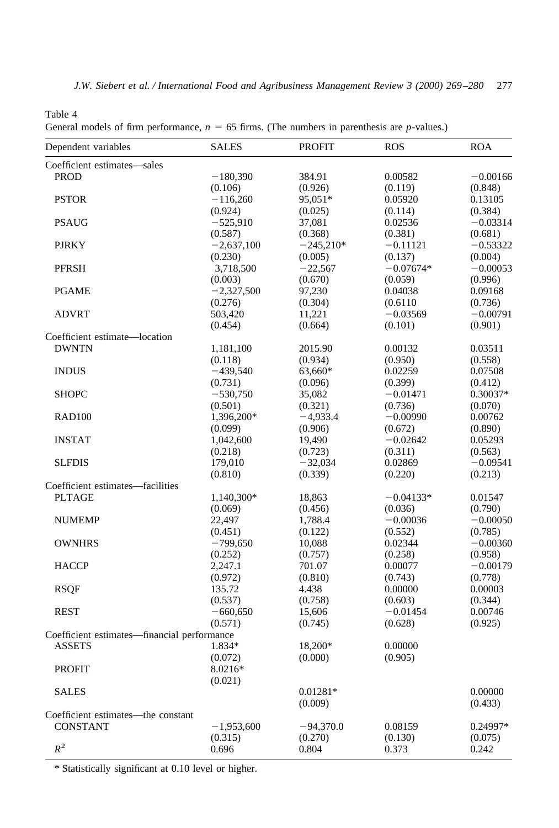|--|--|

General models of firm performance,  $n = 65$  firms. (The numbers in parenthesis are  $p$ -values.)

| Dependent variables                         | <b>SALES</b> | <b>PROFIT</b> | ROS         | <b>ROA</b> |
|---------------------------------------------|--------------|---------------|-------------|------------|
| Coefficient estimates-sales                 |              |               |             |            |
| <b>PROD</b>                                 | $-180,390$   | 384.91        | 0.00582     | $-0.00166$ |
|                                             | (0.106)      | (0.926)       | (0.119)     | (0.848)    |
| <b>PSTOR</b>                                | $-116,260$   | 95.051*       | 0.05920     | 0.13105    |
|                                             | (0.924)      | (0.025)       | (0.114)     | (0.384)    |
| <b>PSAUG</b>                                | $-525,910$   | 37,081        | 0.02536     | $-0.03314$ |
|                                             | (0.587)      | (0.368)       | (0.381)     | (0.681)    |
| <b>PJRKY</b>                                | $-2,637,100$ | $-245,210*$   | $-0.11121$  | $-0.53322$ |
|                                             | (0.230)      | (0.005)       | (0.137)     | (0.004)    |
| <b>PFRSH</b>                                | 3,718,500    | $-22,567$     | $-0.07674*$ | $-0.00053$ |
|                                             | (0.003)      | (0.670)       | (0.059)     | (0.996)    |
| <b>PGAME</b>                                | $-2,327,500$ | 97,230        | 0.04038     | 0.09168    |
|                                             | (0.276)      | (0.304)       | (0.6110)    | (0.736)    |
| <b>ADVRT</b>                                | 503,420      | 11,221        | $-0.03569$  | $-0.00791$ |
|                                             | (0.454)      | (0.664)       | (0.101)     | (0.901)    |
| Coefficient estimate-location               |              |               |             |            |
| <b>DWNTN</b>                                | 1,181,100    | 2015.90       | 0.00132     | 0.03511    |
|                                             | (0.118)      | (0.934)       | (0.950)     | (0.558)    |
|                                             |              | 63,660*       |             |            |
| <b>INDUS</b>                                | $-439,540$   |               | 0.02259     | 0.07508    |
|                                             | (0.731)      | (0.096)       | (0.399)     | (0.412)    |
| <b>SHOPC</b>                                | $-530,750$   | 35,082        | $-0.01471$  | 0.30037*   |
|                                             | (0.501)      | (0.321)       | (0.736)     | (0.070)    |
| <b>RAD100</b>                               | 1,396,200*   | $-4,933.4$    | $-0.00990$  | 0.00762    |
|                                             | (0.099)      | (0.906)       | (0.672)     | (0.890)    |
| <b>INSTAT</b>                               | 1,042,600    | 19,490        | $-0.02642$  | 0.05293    |
|                                             | (0.218)      | (0.723)       | (0.311)     | (0.563)    |
| <b>SLFDIS</b>                               | 179,010      | $-32,034$     | 0.02869     | $-0.09541$ |
|                                             | (0.810)      | (0.339)       | (0.220)     | (0.213)    |
| Coefficient estimates—facilities            |              |               |             |            |
| <b>PLTAGE</b>                               | 1,140,300*   | 18,863        | $-0.04133*$ | 0.01547    |
|                                             | (0.069)      | (0.456)       | (0.036)     | (0.790)    |
| <b>NUMEMP</b>                               | 22,497       | 1,788.4       | $-0.00036$  | $-0.00050$ |
|                                             | (0.451)      | (0.122)       | (0.552)     | (0.785)    |
| <b>OWNHRS</b>                               | $-799,650$   | 10,088        | 0.02344     | $-0.00360$ |
|                                             | (0.252)      | (0.757)       | (0.258)     | (0.958)    |
| <b>HACCP</b>                                | 2,247.1      | 701.07        | 0.00077     | $-0.00179$ |
|                                             | (0.972)      | (0.810)       | (0.743)     | (0.778)    |
| <b>RSOF</b>                                 | 135.72       | 4.438         | 0.00000     | 0.00003    |
|                                             | (0.537)      | (0.758)       | (0.603)     | (0.344)    |
| <b>REST</b>                                 | $-660,650$   | 15,606        | $-0.01454$  | 0.00746    |
|                                             | (0.571)      | (0.745)       | (0.628)     | (0.925)    |
| Coefficient estimates—financial performance |              |               |             |            |
| <b>ASSETS</b>                               | 1.834*       | 18,200*       | 0.00000     |            |
|                                             | (0.072)      | (0.000)       | (0.905)     |            |
| <b>PROFIT</b>                               | 8.0216*      |               |             |            |
|                                             | (0.021)      |               |             |            |
| <b>SALES</b>                                |              | $0.01281*$    |             | 0.00000    |
|                                             |              | (0.009)       |             | (0.433)    |
| Coefficient estimates—the constant          |              |               |             |            |
| <b>CONSTANT</b>                             | $-1,953,600$ | $-94,370.0$   | 0.08159     | 0.24997*   |
|                                             | (0.315)      | (0.270)       | (0.130)     | (0.075)    |
| $R^2$                                       | 0.696        | 0.804         | 0.373       | 0.242      |
|                                             |              |               |             |            |

\* Statistically significant at 0.10 level or higher.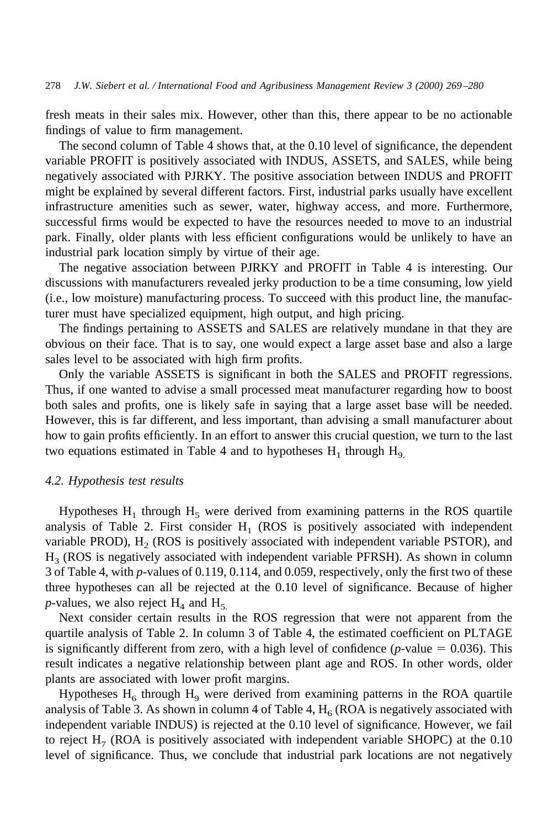fresh meats in their sales mix. However, other than this, there appear to be no actionable findings of value to firm management.

The second column of Table 4 shows that, at the 0.10 level of significance, the dependent variable PROFIT is positively associated with INDUS, ASSETS, and SALES, while being negatively associated with PJRKY. The positive association between INDUS and PROFIT might be explained by several different factors. First, industrial parks usually have excellent infrastructure amenities such as sewer, water, highway access, and more. Furthermore, successful firms would be expected to have the resources needed to move to an industrial park. Finally, older plants with less efficient configurations would be unlikely to have an industrial park location simply by virtue of their age.

The negative association between PJRKY and PROFIT in Table 4 is interesting. Our discussions with manufacturers revealed jerky production to be a time consuming, low yield (i.e., low moisture) manufacturing process. To succeed with this product line, the manufacturer must have specialized equipment, high output, and high pricing.

The findings pertaining to ASSETS and SALES are relatively mundane in that they are obvious on their face. That is to say, one would expect a large asset base and also a large sales level to be associated with high firm profits.

Only the variable ASSETS is significant in both the SALES and PROFIT regressions. Thus, if one wanted to advise a small processed meat manufacturer regarding how to boost both sales and profits, one is likely safe in saying that a large asset base will be needed. However, this is far different, and less important, than advising a small manufacturer about how to gain profits efficiently. In an effort to answer this crucial question, we turn to the last two equations estimated in Table 4 and to hypotheses  $H_1$  through  $H_9$ .

#### *4.2. Hypothesis test results*

Hypotheses  $H_1$  through  $H_5$  were derived from examining patterns in the ROS quartile analysis of Table 2. First consider  $H<sub>1</sub>$  (ROS is positively associated with independent variable PROD),  $H_2$  (ROS is positively associated with independent variable PSTOR), and  $H_3$  (ROS is negatively associated with independent variable PFRSH). As shown in column 3 of Table 4, with *p*-values of 0.119, 0.114, and 0.059, respectively, only the first two of these three hypotheses can all be rejected at the 0.10 level of significance. Because of higher *p*-values, we also reject  $H_4$  and  $H_5$ .

Next consider certain results in the ROS regression that were not apparent from the quartile analysis of Table 2. In column 3 of Table 4, the estimated coefficient on PLTAGE is significantly different from zero, with a high level of confidence  $(p$ -value  $= 0.036$ ). This result indicates a negative relationship between plant age and ROS. In other words, older plants are associated with lower profit margins.

Hypotheses  $H_6$  through  $H_9$  were derived from examining patterns in the ROA quartile analysis of Table 3. As shown in column 4 of Table 4,  $H<sub>6</sub>$  (ROA is negatively associated with independent variable INDUS) is rejected at the 0.10 level of significance. However, we fail to reject  $H_7$  (ROA is positively associated with independent variable SHOPC) at the 0.10 level of significance. Thus, we conclude that industrial park locations are not negatively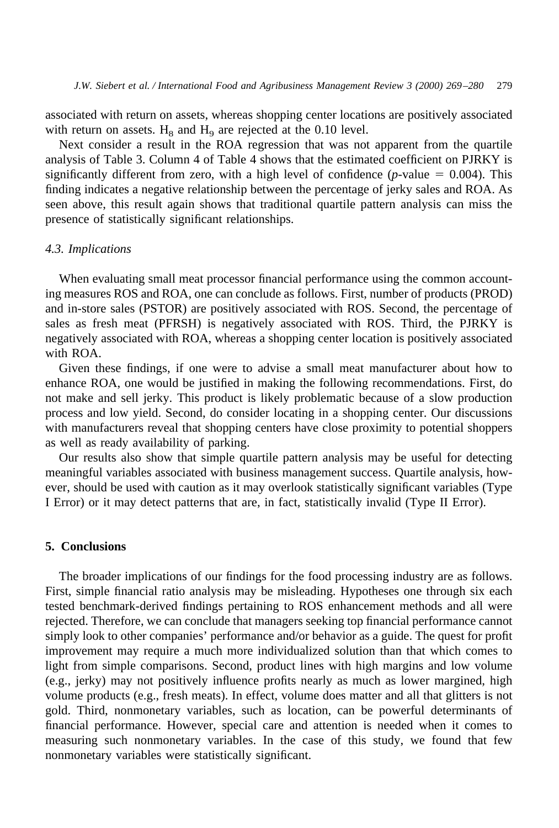associated with return on assets, whereas shopping center locations are positively associated with return on assets.  $H_8$  and  $H_9$  are rejected at the 0.10 level.

Next consider a result in the ROA regression that was not apparent from the quartile analysis of Table 3. Column 4 of Table 4 shows that the estimated coefficient on PJRKY is significantly different from zero, with a high level of confidence ( $p$ -value = 0.004). This finding indicates a negative relationship between the percentage of jerky sales and ROA. As seen above, this result again shows that traditional quartile pattern analysis can miss the presence of statistically significant relationships.

#### *4.3. Implications*

When evaluating small meat processor financial performance using the common accounting measures ROS and ROA, one can conclude as follows. First, number of products (PROD) and in-store sales (PSTOR) are positively associated with ROS. Second, the percentage of sales as fresh meat (PFRSH) is negatively associated with ROS. Third, the PJRKY is negatively associated with ROA, whereas a shopping center location is positively associated with ROA.

Given these findings, if one were to advise a small meat manufacturer about how to enhance ROA, one would be justified in making the following recommendations. First, do not make and sell jerky. This product is likely problematic because of a slow production process and low yield. Second, do consider locating in a shopping center. Our discussions with manufacturers reveal that shopping centers have close proximity to potential shoppers as well as ready availability of parking.

Our results also show that simple quartile pattern analysis may be useful for detecting meaningful variables associated with business management success. Quartile analysis, however, should be used with caution as it may overlook statistically significant variables (Type I Error) or it may detect patterns that are, in fact, statistically invalid (Type II Error).

## **5. Conclusions**

The broader implications of our findings for the food processing industry are as follows. First, simple financial ratio analysis may be misleading. Hypotheses one through six each tested benchmark-derived findings pertaining to ROS enhancement methods and all were rejected. Therefore, we can conclude that managers seeking top financial performance cannot simply look to other companies' performance and/or behavior as a guide. The quest for profit improvement may require a much more individualized solution than that which comes to light from simple comparisons. Second, product lines with high margins and low volume (e.g., jerky) may not positively influence profits nearly as much as lower margined, high volume products (e.g., fresh meats). In effect, volume does matter and all that glitters is not gold. Third, nonmonetary variables, such as location, can be powerful determinants of financial performance. However, special care and attention is needed when it comes to measuring such nonmonetary variables. In the case of this study, we found that few nonmonetary variables were statistically significant.